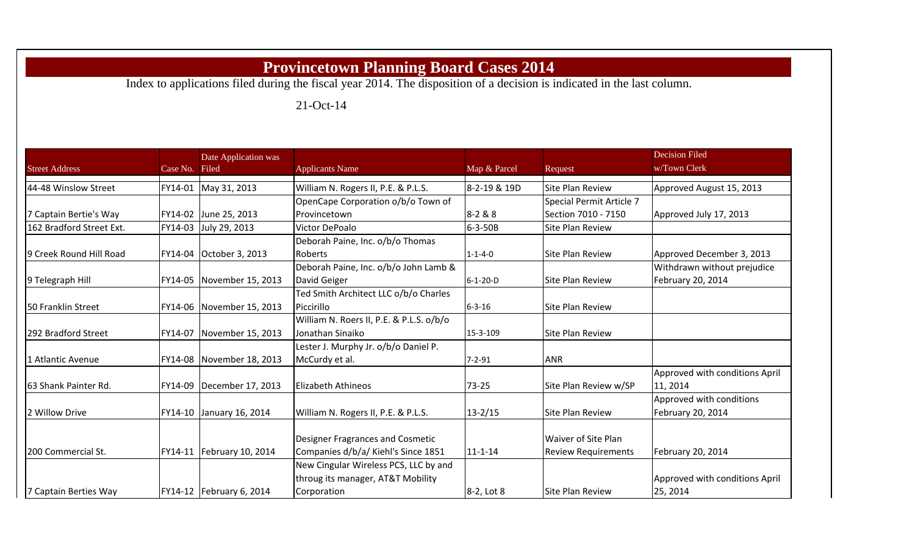## **Provincetown Planning Board Cases 2014**

Index to applications filed during the fiscal year 2014. The disposition of a decision is indicated in the last column.

21-Oct-14

|                          |          | Date Application was        |                                          |                  |                            | <b>Decision Filed</b>          |
|--------------------------|----------|-----------------------------|------------------------------------------|------------------|----------------------------|--------------------------------|
| <b>Street Address</b>    | Case No. | Filed                       | <b>Applicants Name</b>                   | Map & Parcel     | Request                    | w/Town Clerk                   |
| 44-48 Winslow Street     | FY14-01  | May 31, 2013                | William N. Rogers II, P.E. & P.L.S.      | 8-2-19 & 19D     | <b>Site Plan Review</b>    | Approved August 15, 2013       |
|                          |          |                             | OpenCape Corporation o/b/o Town of       |                  | Special Permit Article 7   |                                |
| 7 Captain Bertie's Way   |          | FY14-02 June 25, 2013       | Provincetown                             | $8 - 2 & 8 & 8$  | Section 7010 - 7150        | Approved July 17, 2013         |
| 162 Bradford Street Ext. | FY14-03  | July 29, 2013               | Victor DePoalo                           | $6 - 3 - 50B$    | <b>Site Plan Review</b>    |                                |
|                          |          |                             | Deborah Paine, Inc. o/b/o Thomas         |                  |                            |                                |
| 9 Creek Round Hill Road  | FY14-04  | October 3, 2013             | Roberts                                  | $1 - 1 - 4 - 0$  | <b>Site Plan Review</b>    | Approved December 3, 2013      |
|                          |          |                             | Deborah Paine, Inc. o/b/o John Lamb &    |                  |                            | Withdrawn without prejudice    |
| 9 Telegraph Hill         |          | FY14-05 November 15, 2013   | David Geiger                             | $6 - 1 - 20 - D$ | <b>Site Plan Review</b>    | February 20, 2014              |
|                          |          |                             | Ted Smith Architect LLC o/b/o Charles    |                  |                            |                                |
| 50 Franklin Street       |          | FY14-06 November 15, 2013   | Piccirillo                               | $6 - 3 - 16$     | <b>Site Plan Review</b>    |                                |
|                          |          |                             | William N. Roers II, P.E. & P.L.S. o/b/o |                  |                            |                                |
| 292 Bradford Street      | FY14-07  | November 15, 2013           | Jonathan Sinaiko                         | 15-3-109         | <b>Site Plan Review</b>    |                                |
|                          |          |                             | Lester J. Murphy Jr. o/b/o Daniel P.     |                  |                            |                                |
| 1 Atlantic Avenue        |          | FY14-08 November 18, 2013   | McCurdy et al.                           | $7 - 2 - 91$     | <b>ANR</b>                 |                                |
|                          |          |                             |                                          |                  |                            | Approved with conditions April |
| 63 Shank Painter Rd.     |          | FY14-09   December 17, 2013 | Elizabeth Athineos                       | 73-25            | Site Plan Review w/SP      | 11, 2014                       |
|                          |          |                             |                                          |                  |                            | Approved with conditions       |
| 2 Willow Drive           | FY14-10  | January 16, 2014            | William N. Rogers II, P.E. & P.L.S.      | $13 - 2/15$      | <b>Site Plan Review</b>    | February 20, 2014              |
|                          |          |                             |                                          |                  |                            |                                |
|                          |          |                             | <b>Designer Fragrances and Cosmetic</b>  |                  | <b>Waiver of Site Plan</b> |                                |
| 200 Commercial St.       |          | FY14-11   February 10, 2014 | Companies d/b/a/ Kiehl's Since 1851      | $11 - 1 - 14$    | <b>Review Requirements</b> | February 20, 2014              |
|                          |          |                             | New Cingular Wireless PCS, LLC by and    |                  |                            |                                |
|                          |          |                             | throug its manager, AT&T Mobility        |                  |                            | Approved with conditions April |
| 7 Captain Berties Way    |          | FY14-12   February 6, 2014  | Corporation                              | 8-2, Lot 8       | <b>Site Plan Review</b>    | 25, 2014                       |